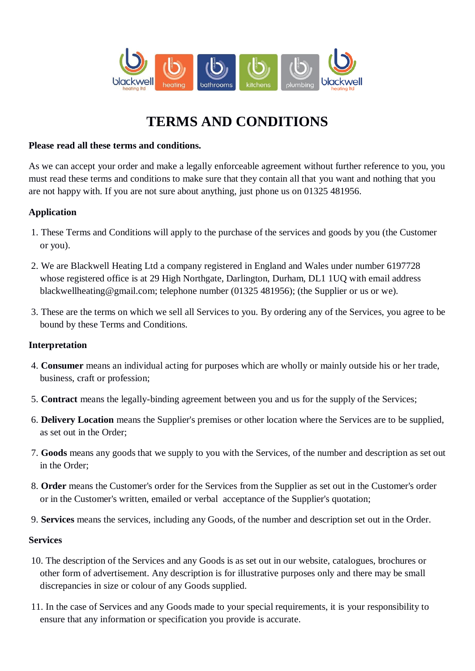

# **TERMS AND CONDITIONS**

#### **Please read all these terms and conditions.**

As we can accept your order and make a legally enforceable agreement without further reference to you, you must read these terms and conditions to make sure that they contain all that you want and nothing that you are not happy with. If you are not sure about anything, just phone us on 01325 481956.

#### **Application**

- 1. These Terms and Conditions will apply to the purchase of the services and goods by you (the Customer or you).
- 2. We are Blackwell Heating Ltd a company registered in England and Wales under number 6197728 whose registered office is at 29 High Northgate, Darlington, Durham, DL1 1UQ with email address blackwellheating@gmail.com; telephone number (01325 481956); (the Supplier or us or we).
- 3. These are the terms on which we sell all Services to you. By ordering any of the Services, you agree to be bound by these Terms and Conditions.

#### **Interpretation**

- 4. **Consumer** means an individual acting for purposes which are wholly or mainly outside his or her trade, business, craft or profession;
- 5. **Contract** means the legally-binding agreement between you and us for the supply of the Services;
- 6. **Delivery Location** means the Supplier's premises or other location where the Services are to be supplied, as set out in the Order;
- 7. **Goods** means any goods that we supply to you with the Services, of the number and description as set out in the Order;
- 8. **Order** means the Customer's order for the Services from the Supplier as set out in the Customer's order or in the Customer's written, emailed or verbal acceptance of the Supplier's quotation;
- 9. **Services** means the services, including any Goods, of the number and description set out in the Order.

#### **Services**

- 10. The description of the Services and any Goods is as set out in our website, catalogues, brochures or other form of advertisement. Any description is for illustrative purposes only and there may be small discrepancies in size or colour of any Goods supplied.
- 11. In the case of Services and any Goods made to your special requirements, it is your responsibility to ensure that any information or specification you provide is accurate.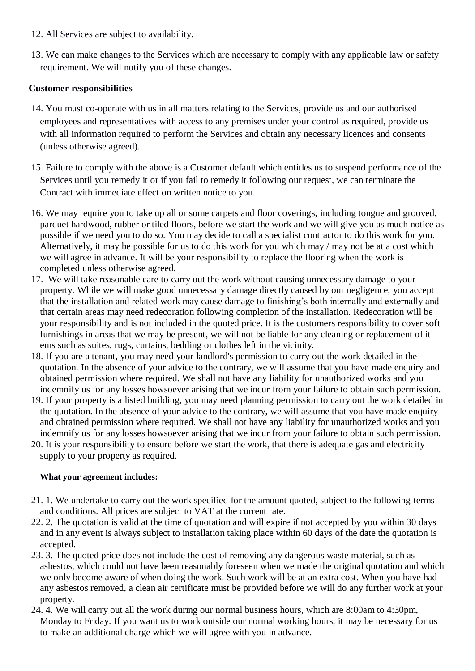- 12. All Services are subject to availability.
- 13. We can make changes to the Services which are necessary to comply with any applicable law or safety requirement. We will notify you of these changes.

### **Customer responsibilities**

- 14. You must co-operate with us in all matters relating to the Services, provide us and our authorised employees and representatives with access to any premises under your control as required, provide us with all information required to perform the Services and obtain any necessary licences and consents (unless otherwise agreed).
- 15. Failure to comply with the above is a Customer default which entitles us to suspend performance of the Services until you remedy it or if you fail to remedy it following our request, we can terminate the Contract with immediate effect on written notice to you.
- 16. We may require you to take up all or some carpets and floor coverings, including tongue and grooved, parquet hardwood, rubber or tiled floors, before we start the work and we will give you as much notice as possible if we need you to do so. You may decide to call a specialist contractor to do this work for you. Alternatively, it may be possible for us to do this work for you which may / may not be at a cost which we will agree in advance. It will be your responsibility to replace the flooring when the work is completed unless otherwise agreed.
- 17. We will take reasonable care to carry out the work without causing unnecessary damage to your property. While we will make good unnecessary damage directly caused by our negligence, you accept that the installation and related work may cause damage to finishing's both internally and externally and that certain areas may need redecoration following completion of the installation. Redecoration will be your responsibility and is not included in the quoted price. It is the customers responsibility to cover soft furnishings in areas that we may be present, we will not be liable for any cleaning or replacement of it ems such as suites, rugs, curtains, bedding or clothes left in the vicinity.
- 18. If you are a tenant, you may need your landlord's permission to carry out the work detailed in the quotation. In the absence of your advice to the contrary, we will assume that you have made enquiry and obtained permission where required. We shall not have any liability for unauthorized works and you indemnify us for any losses howsoever arising that we incur from your failure to obtain such permission.
- 19. If your property is a listed building, you may need planning permission to carry out the work detailed in the quotation. In the absence of your advice to the contrary, we will assume that you have made enquiry and obtained permission where required. We shall not have any liability for unauthorized works and you indemnify us for any losses howsoever arising that we incur from your failure to obtain such permission.
- 20. It is your responsibility to ensure before we start the work, that there is adequate gas and electricity supply to your property as required.

### **What your agreement includes:**

- 21. 1. We undertake to carry out the work specified for the amount quoted, subject to the following terms and conditions. All prices are subject to VAT at the current rate.
- 22. 2. The quotation is valid at the time of quotation and will expire if not accepted by you within 30 days and in any event is always subject to installation taking place within 60 days of the date the quotation is accepted.
- 23. 3. The quoted price does not include the cost of removing any dangerous waste material, such as asbestos, which could not have been reasonably foreseen when we made the original quotation and which we only become aware of when doing the work. Such work will be at an extra cost. When you have had any asbestos removed, a clean air certificate must be provided before we will do any further work at your property.
- 24. 4. We will carry out all the work during our normal business hours, which are 8:00am to 4:30pm, Monday to Friday. If you want us to work outside our normal working hours, it may be necessary for us to make an additional charge which we will agree with you in advance.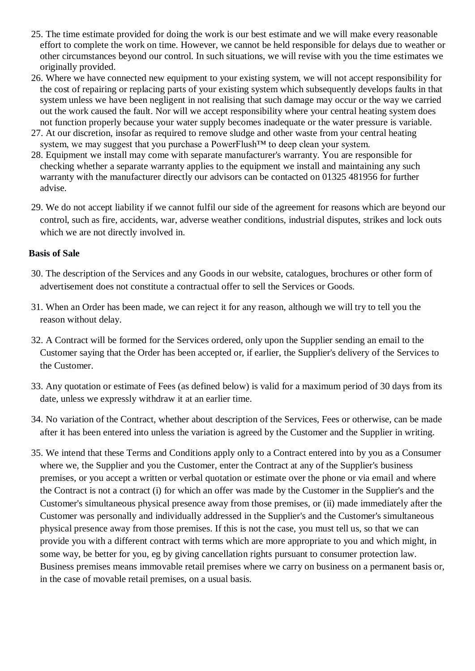- 25. The time estimate provided for doing the work is our best estimate and we will make every reasonable effort to complete the work on time. However, we cannot be held responsible for delays due to weather or other circumstances beyond our control. In such situations, we will revise with you the time estimates we originally provided.
- 26. Where we have connected new equipment to your existing system, we will not accept responsibility for the cost of repairing or replacing parts of your existing system which subsequently develops faults in that system unless we have been negligent in not realising that such damage may occur or the way we carried out the work caused the fault. Nor will we accept responsibility where your central heating system does not function properly because your water supply becomes inadequate or the water pressure is variable.
- 27. At our discretion, insofar as required to remove sludge and other waste from your central heating system, we may suggest that you purchase a PowerFlush<sup>™</sup> to deep clean your system.
- 28. Equipment we install may come with separate manufacturer's warranty. You are responsible for checking whether a separate warranty applies to the equipment we install and maintaining any such warranty with the manufacturer directly our advisors can be contacted on 01325 481956 for further advise.
- 29. We do not accept liability if we cannot fulfil our side of the agreement for reasons which are beyond our control, such as fire, accidents, war, adverse weather conditions, industrial disputes, strikes and lock outs which we are not directly involved in.

### **Basis of Sale**

- 30. The description of the Services and any Goods in our website, catalogues, brochures or other form of advertisement does not constitute a contractual offer to sell the Services or Goods.
- 31. When an Order has been made, we can reject it for any reason, although we will try to tell you the reason without delay.
- 32. A Contract will be formed for the Services ordered, only upon the Supplier sending an email to the Customer saying that the Order has been accepted or, if earlier, the Supplier's delivery of the Services to the Customer.
- 33. Any quotation or estimate of Fees (as defined below) is valid for a maximum period of 30 days from its date, unless we expressly withdraw it at an earlier time.
- 34. No variation of the Contract, whether about description of the Services, Fees or otherwise, can be made after it has been entered into unless the variation is agreed by the Customer and the Supplier in writing.
- 35. We intend that these Terms and Conditions apply only to a Contract entered into by you as a Consumer where we, the Supplier and you the Customer, enter the Contract at any of the Supplier's business premises, or you accept a written or verbal quotation or estimate over the phone or via email and where the Contract is not a contract (i) for which an offer was made by the Customer in the Supplier's and the Customer's simultaneous physical presence away from those premises, or (ii) made immediately after the Customer was personally and individually addressed in the Supplier's and the Customer's simultaneous physical presence away from those premises. If this is not the case, you must tell us, so that we can provide you with a different contract with terms which are more appropriate to you and which might, in some way, be better for you, eg by giving cancellation rights pursuant to consumer protection law. Business premises means immovable retail premises where we carry on business on a permanent basis or, in the case of movable retail premises, on a usual basis.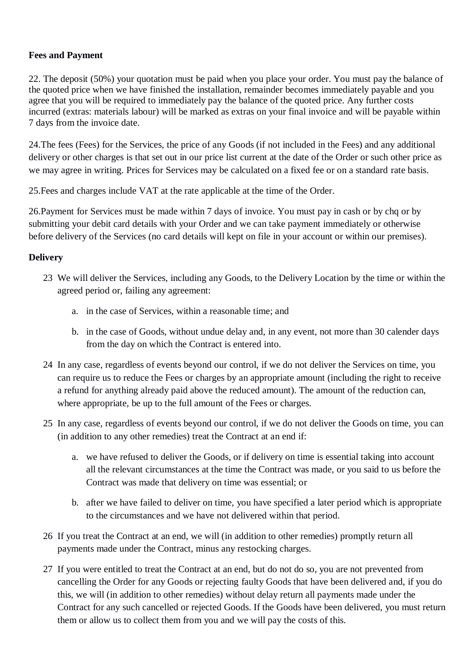## **Fees and Payment**

22. The deposit (50%) your quotation must be paid when you place your order. You must pay the balance of the quoted price when we have finished the installation, remainder becomes immediately payable and you agree that you will be required to immediately pay the balance of the quoted price. Any further costs incurred (extras: materials labour) will be marked as extras on your final invoice and will be payable within 7 days from the invoice date.

24.The fees (Fees) for the Services, the price of any Goods (if not included in the Fees) and any additional delivery or other charges is that set out in our price list current at the date of the Order or such other price as we may agree in writing. Prices for Services may be calculated on a fixed fee or on a standard rate basis.

25.Fees and charges include VAT at the rate applicable at the time of the Order.

26.Payment for Services must be made within 7 days of invoice. You must pay in cash or by chq or by submitting your debit card details with your Order and we can take payment immediately or otherwise before delivery of the Services (no card details will kept on file in your account or within our premises).

### **Delivery**

- 23 We will deliver the Services, including any Goods, to the Delivery Location by the time or within the agreed period or, failing any agreement:
	- a. in the case of Services, within a reasonable time; and
	- b. in the case of Goods, without undue delay and, in any event, not more than 30 calender days from the day on which the Contract is entered into.
- 24 In any case, regardless of events beyond our control, if we do not deliver the Services on time, you can require us to reduce the Fees or charges by an appropriate amount (including the right to receive a refund for anything already paid above the reduced amount). The amount of the reduction can, where appropriate, be up to the full amount of the Fees or charges.
- 25 In any case, regardless of events beyond our control, if we do not deliver the Goods on time, you can (in addition to any other remedies) treat the Contract at an end if:
	- a. we have refused to deliver the Goods, or if delivery on time is essential taking into account all the relevant circumstances at the time the Contract was made, or you said to us before the Contract was made that delivery on time was essential; or
	- b. after we have failed to deliver on time, you have specified a later period which is appropriate to the circumstances and we have not delivered within that period.
- 26 If you treat the Contract at an end, we will (in addition to other remedies) promptly return all payments made under the Contract, minus any restocking charges.
- 27 If you were entitled to treat the Contract at an end, but do not do so, you are not prevented from cancelling the Order for any Goods or rejecting faulty Goods that have been delivered and, if you do this, we will (in addition to other remedies) without delay return all payments made under the Contract for any such cancelled or rejected Goods. If the Goods have been delivered, you must return them or allow us to collect them from you and we will pay the costs of this.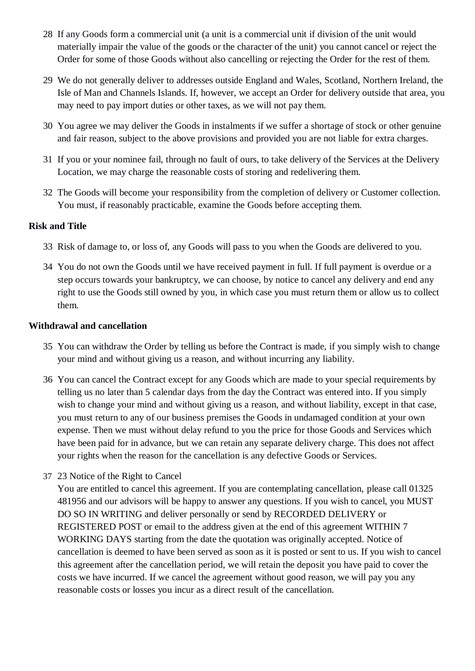- 28 If any Goods form a commercial unit (a unit is a commercial unit if division of the unit would materially impair the value of the goods or the character of the unit) you cannot cancel or reject the Order for some of those Goods without also cancelling or rejecting the Order for the rest of them.
- 29 We do not generally deliver to addresses outside England and Wales, Scotland, Northern Ireland, the Isle of Man and Channels Islands. If, however, we accept an Order for delivery outside that area, you may need to pay import duties or other taxes, as we will not pay them.
- 30 You agree we may deliver the Goods in instalments if we suffer a shortage of stock or other genuine and fair reason, subject to the above provisions and provided you are not liable for extra charges.
- 31 If you or your nominee fail, through no fault of ours, to take delivery of the Services at the Delivery Location, we may charge the reasonable costs of storing and redelivering them.
- 32 The Goods will become your responsibility from the completion of delivery or Customer collection. You must, if reasonably practicable, examine the Goods before accepting them.

### **Risk and Title**

- 33 Risk of damage to, or loss of, any Goods will pass to you when the Goods are delivered to you.
- 34 You do not own the Goods until we have received payment in full. If full payment is overdue or a step occurs towards your bankruptcy, we can choose, by notice to cancel any delivery and end any right to use the Goods still owned by you, in which case you must return them or allow us to collect them.

#### **Withdrawal and cancellation**

- 35 You can withdraw the Order by telling us before the Contract is made, if you simply wish to change your mind and without giving us a reason, and without incurring any liability.
- 36 You can cancel the Contract except for any Goods which are made to your special requirements by telling us no later than 5 calendar days from the day the Contract was entered into. If you simply wish to change your mind and without giving us a reason, and without liability, except in that case, you must return to any of our business premises the Goods in undamaged condition at your own expense. Then we must without delay refund to you the price for those Goods and Services which have been paid for in advance, but we can retain any separate delivery charge. This does not affect your rights when the reason for the cancellation is any defective Goods or Services.
- 37 23 Notice of the Right to Cancel

You are entitled to cancel this agreement. If you are contemplating cancellation, please call 01325 481956 and our advisors will be happy to answer any questions. If you wish to cancel, you MUST DO SO IN WRITING and deliver personally or send by RECORDED DELIVERY or REGISTERED POST or email to the address given at the end of this agreement WITHIN 7 WORKING DAYS starting from the date the quotation was originally accepted. Notice of cancellation is deemed to have been served as soon as it is posted or sent to us. If you wish to cancel this agreement after the cancellation period, we will retain the deposit you have paid to cover the costs we have incurred. If we cancel the agreement without good reason, we will pay you any reasonable costs or losses you incur as a direct result of the cancellation.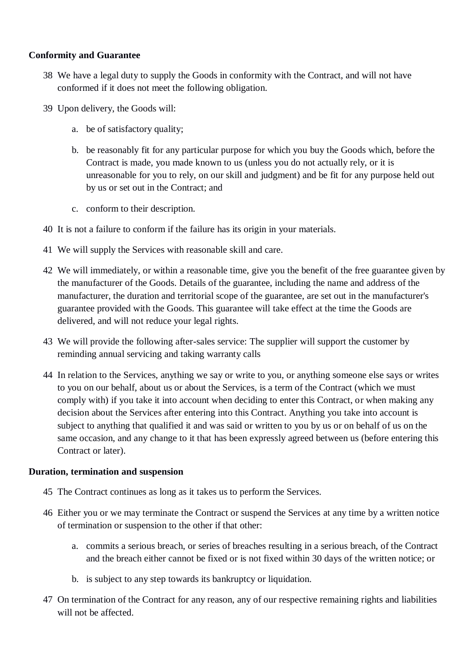## **Conformity and Guarantee**

- 38 We have a legal duty to supply the Goods in conformity with the Contract, and will not have conformed if it does not meet the following obligation.
- 39 Upon delivery, the Goods will:
	- a. be of satisfactory quality;
	- b. be reasonably fit for any particular purpose for which you buy the Goods which, before the Contract is made, you made known to us (unless you do not actually rely, or it is unreasonable for you to rely, on our skill and judgment) and be fit for any purpose held out by us or set out in the Contract; and
	- c. conform to their description.
- 40 It is not a failure to conform if the failure has its origin in your materials.
- 41 We will supply the Services with reasonable skill and care.
- 42 We will immediately, or within a reasonable time, give you the benefit of the free guarantee given by the manufacturer of the Goods. Details of the guarantee, including the name and address of the manufacturer, the duration and territorial scope of the guarantee, are set out in the manufacturer's guarantee provided with the Goods. This guarantee will take effect at the time the Goods are delivered, and will not reduce your legal rights.
- 43 We will provide the following after-sales service: The supplier will support the customer by reminding annual servicing and taking warranty calls
- 44 In relation to the Services, anything we say or write to you, or anything someone else says or writes to you on our behalf, about us or about the Services, is a term of the Contract (which we must comply with) if you take it into account when deciding to enter this Contract, or when making any decision about the Services after entering into this Contract. Anything you take into account is subject to anything that qualified it and was said or written to you by us or on behalf of us on the same occasion, and any change to it that has been expressly agreed between us (before entering this Contract or later).

### **Duration, termination and suspension**

- 45 The Contract continues as long as it takes us to perform the Services.
- 46 Either you or we may terminate the Contract or suspend the Services at any time by a written notice of termination or suspension to the other if that other:
	- a. commits a serious breach, or series of breaches resulting in a serious breach, of the Contract and the breach either cannot be fixed or is not fixed within 30 days of the written notice; or
	- b. is subject to any step towards its bankruptcy or liquidation.
- 47 On termination of the Contract for any reason, any of our respective remaining rights and liabilities will not be affected.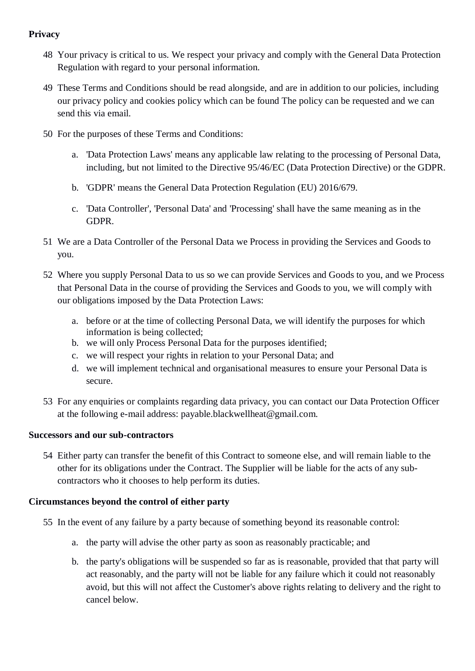## **Privacy**

- 48 Your privacy is critical to us. We respect your privacy and comply with the General Data Protection Regulation with regard to your personal information.
- 49 These Terms and Conditions should be read alongside, and are in addition to our policies, including our privacy policy and cookies policy which can be found The policy can be requested and we can send this via email.
- 50 For the purposes of these Terms and Conditions:
	- a. 'Data Protection Laws' means any applicable law relating to the processing of Personal Data, including, but not limited to the Directive 95/46/EC (Data Protection Directive) or the GDPR.
	- b. 'GDPR' means the General Data Protection Regulation (EU) 2016/679.
	- c. 'Data Controller', 'Personal Data' and 'Processing' shall have the same meaning as in the GDPR.
- 51 We are a Data Controller of the Personal Data we Process in providing the Services and Goods to you.
- 52 Where you supply Personal Data to us so we can provide Services and Goods to you, and we Process that Personal Data in the course of providing the Services and Goods to you, we will comply with our obligations imposed by the Data Protection Laws:
	- a. before or at the time of collecting Personal Data, we will identify the purposes for which information is being collected;
	- b. we will only Process Personal Data for the purposes identified;
	- c. we will respect your rights in relation to your Personal Data; and
	- d. we will implement technical and organisational measures to ensure your Personal Data is secure.
- 53 For any enquiries or complaints regarding data privacy, you can contact our Data Protection Officer at the following e-mail address: payable.blackwellheat@gmail.com.

### **Successors and our sub-contractors**

54 Either party can transfer the benefit of this Contract to someone else, and will remain liable to the other for its obligations under the Contract. The Supplier will be liable for the acts of any subcontractors who it chooses to help perform its duties.

### **Circumstances beyond the control of either party**

55 In the event of any failure by a party because of something beyond its reasonable control:

- a. the party will advise the other party as soon as reasonably practicable; and
- b. the party's obligations will be suspended so far as is reasonable, provided that that party will act reasonably, and the party will not be liable for any failure which it could not reasonably avoid, but this will not affect the Customer's above rights relating to delivery and the right to cancel below.